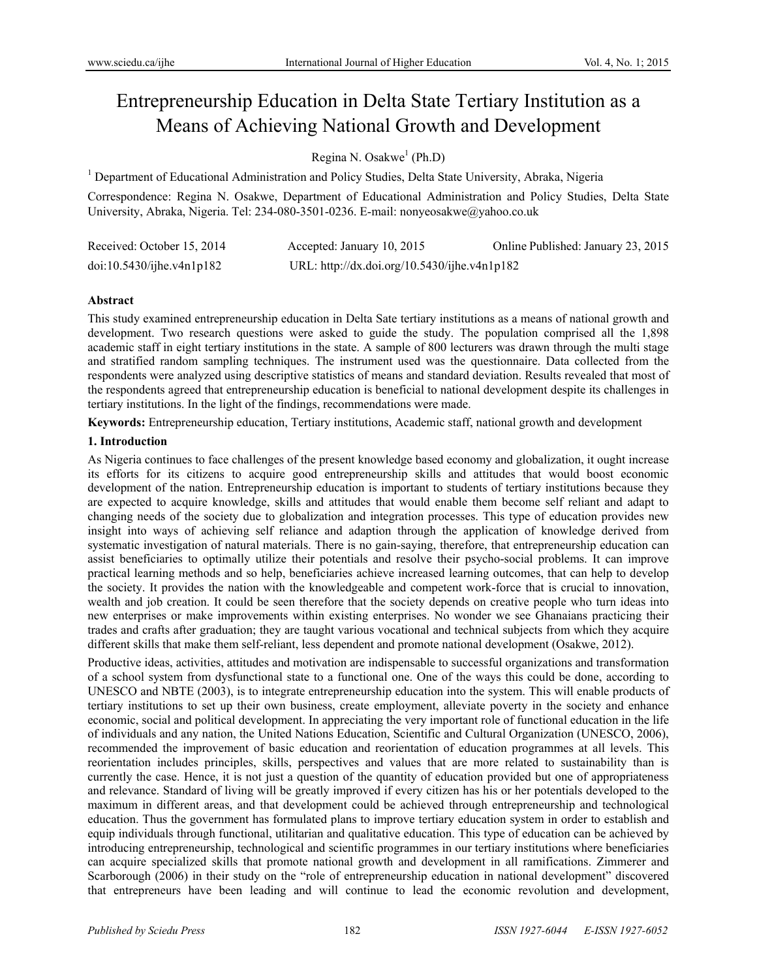# Entrepreneurship Education in Delta State Tertiary Institution as a Means of Achieving National Growth and Development

Regina N. Osakwe<sup>1</sup> (Ph.D)

<sup>1</sup> Department of Educational Administration and Policy Studies, Delta State University, Abraka, Nigeria

Correspondence: Regina N. Osakwe, Department of Educational Administration and Policy Studies, Delta State University, Abraka, Nigeria. Tel: 234-080-3501-0236. E-mail: nonyeosakwe@yahoo.co.uk

| Received: October 15, 2014 | Accepted: January 10, 2015                   | Online Published: January 23, 2015 |
|----------------------------|----------------------------------------------|------------------------------------|
| doi:10.5430/ijhe.v4n1p182  | URL: http://dx.doi.org/10.5430/ijhe.v4n1p182 |                                    |

#### **Abstract**

This study examined entrepreneurship education in Delta Sate tertiary institutions as a means of national growth and development. Two research questions were asked to guide the study. The population comprised all the 1,898 academic staff in eight tertiary institutions in the state. A sample of 800 lecturers was drawn through the multi stage and stratified random sampling techniques. The instrument used was the questionnaire. Data collected from the respondents were analyzed using descriptive statistics of means and standard deviation. Results revealed that most of the respondents agreed that entrepreneurship education is beneficial to national development despite its challenges in tertiary institutions. In the light of the findings, recommendations were made.

**Keywords:** Entrepreneurship education, Tertiary institutions, Academic staff, national growth and development

#### **1. Introduction**

As Nigeria continues to face challenges of the present knowledge based economy and globalization, it ought increase its efforts for its citizens to acquire good entrepreneurship skills and attitudes that would boost economic development of the nation. Entrepreneurship education is important to students of tertiary institutions because they are expected to acquire knowledge, skills and attitudes that would enable them become self reliant and adapt to changing needs of the society due to globalization and integration processes. This type of education provides new insight into ways of achieving self reliance and adaption through the application of knowledge derived from systematic investigation of natural materials. There is no gain-saying, therefore, that entrepreneurship education can assist beneficiaries to optimally utilize their potentials and resolve their psycho-social problems. It can improve practical learning methods and so help, beneficiaries achieve increased learning outcomes, that can help to develop the society. It provides the nation with the knowledgeable and competent work-force that is crucial to innovation, wealth and job creation. It could be seen therefore that the society depends on creative people who turn ideas into new enterprises or make improvements within existing enterprises. No wonder we see Ghanaians practicing their trades and crafts after graduation; they are taught various vocational and technical subjects from which they acquire different skills that make them self-reliant, less dependent and promote national development (Osakwe, 2012).

Productive ideas, activities, attitudes and motivation are indispensable to successful organizations and transformation of a school system from dysfunctional state to a functional one. One of the ways this could be done, according to UNESCO and NBTE (2003), is to integrate entrepreneurship education into the system. This will enable products of tertiary institutions to set up their own business, create employment, alleviate poverty in the society and enhance economic, social and political development. In appreciating the very important role of functional education in the life of individuals and any nation, the United Nations Education, Scientific and Cultural Organization (UNESCO, 2006), recommended the improvement of basic education and reorientation of education programmes at all levels. This reorientation includes principles, skills, perspectives and values that are more related to sustainability than is currently the case. Hence, it is not just a question of the quantity of education provided but one of appropriateness and relevance. Standard of living will be greatly improved if every citizen has his or her potentials developed to the maximum in different areas, and that development could be achieved through entrepreneurship and technological education. Thus the government has formulated plans to improve tertiary education system in order to establish and equip individuals through functional, utilitarian and qualitative education. This type of education can be achieved by introducing entrepreneurship, technological and scientific programmes in our tertiary institutions where beneficiaries can acquire specialized skills that promote national growth and development in all ramifications. Zimmerer and Scarborough (2006) in their study on the "role of entrepreneurship education in national development" discovered that entrepreneurs have been leading and will continue to lead the economic revolution and development,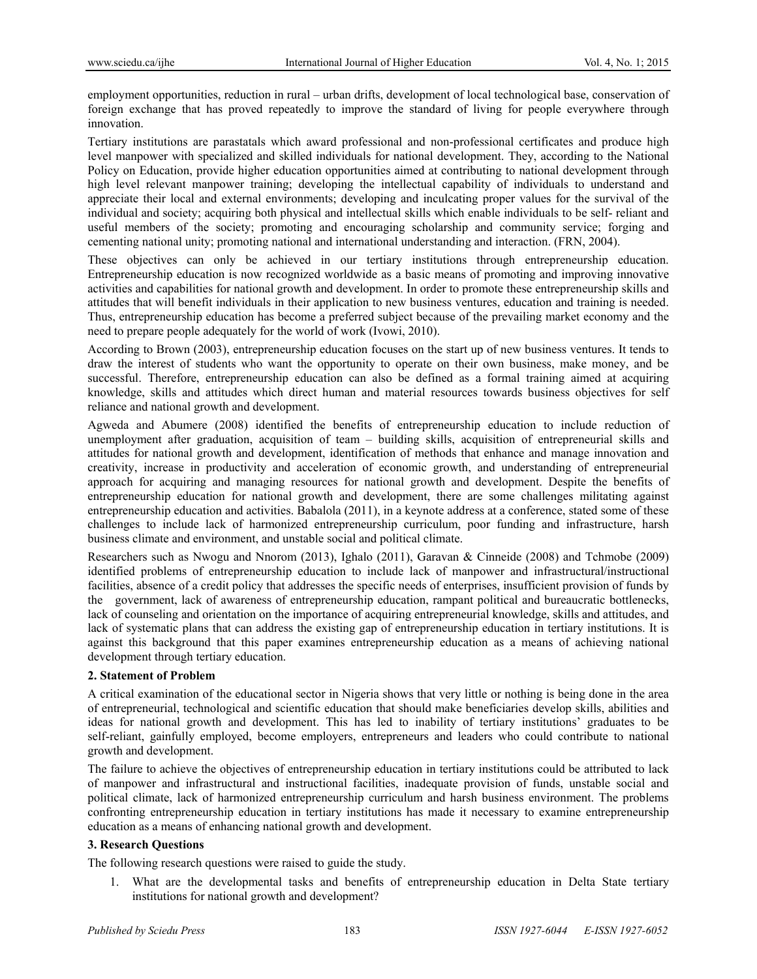employment opportunities, reduction in rural – urban drifts, development of local technological base, conservation of foreign exchange that has proved repeatedly to improve the standard of living for people everywhere through innovation.

Tertiary institutions are parastatals which award professional and non-professional certificates and produce high level manpower with specialized and skilled individuals for national development. They, according to the National Policy on Education, provide higher education opportunities aimed at contributing to national development through high level relevant manpower training; developing the intellectual capability of individuals to understand and appreciate their local and external environments; developing and inculcating proper values for the survival of the individual and society; acquiring both physical and intellectual skills which enable individuals to be self- reliant and useful members of the society; promoting and encouraging scholarship and community service; forging and cementing national unity; promoting national and international understanding and interaction. (FRN, 2004).

These objectives can only be achieved in our tertiary institutions through entrepreneurship education. Entrepreneurship education is now recognized worldwide as a basic means of promoting and improving innovative activities and capabilities for national growth and development. In order to promote these entrepreneurship skills and attitudes that will benefit individuals in their application to new business ventures, education and training is needed. Thus, entrepreneurship education has become a preferred subject because of the prevailing market economy and the need to prepare people adequately for the world of work (Ivowi, 2010).

According to Brown (2003), entrepreneurship education focuses on the start up of new business ventures. It tends to draw the interest of students who want the opportunity to operate on their own business, make money, and be successful. Therefore, entrepreneurship education can also be defined as a formal training aimed at acquiring knowledge, skills and attitudes which direct human and material resources towards business objectives for self reliance and national growth and development.

Agweda and Abumere (2008) identified the benefits of entrepreneurship education to include reduction of unemployment after graduation, acquisition of team – building skills, acquisition of entrepreneurial skills and attitudes for national growth and development, identification of methods that enhance and manage innovation and creativity, increase in productivity and acceleration of economic growth, and understanding of entrepreneurial approach for acquiring and managing resources for national growth and development. Despite the benefits of entrepreneurship education for national growth and development, there are some challenges militating against entrepreneurship education and activities. Babalola (2011), in a keynote address at a conference, stated some of these challenges to include lack of harmonized entrepreneurship curriculum, poor funding and infrastructure, harsh business climate and environment, and unstable social and political climate.

Researchers such as Nwogu and Nnorom (2013), Ighalo (2011), Garavan & Cinneide (2008) and Tchmobe (2009) identified problems of entrepreneurship education to include lack of manpower and infrastructural/instructional facilities, absence of a credit policy that addresses the specific needs of enterprises, insufficient provision of funds by the government, lack of awareness of entrepreneurship education, rampant political and bureaucratic bottlenecks, lack of counseling and orientation on the importance of acquiring entrepreneurial knowledge, skills and attitudes, and lack of systematic plans that can address the existing gap of entrepreneurship education in tertiary institutions. It is against this background that this paper examines entrepreneurship education as a means of achieving national development through tertiary education.

## **2. Statement of Problem**

A critical examination of the educational sector in Nigeria shows that very little or nothing is being done in the area of entrepreneurial, technological and scientific education that should make beneficiaries develop skills, abilities and ideas for national growth and development. This has led to inability of tertiary institutions' graduates to be self-reliant, gainfully employed, become employers, entrepreneurs and leaders who could contribute to national growth and development.

The failure to achieve the objectives of entrepreneurship education in tertiary institutions could be attributed to lack of manpower and infrastructural and instructional facilities, inadequate provision of funds, unstable social and political climate, lack of harmonized entrepreneurship curriculum and harsh business environment. The problems confronting entrepreneurship education in tertiary institutions has made it necessary to examine entrepreneurship education as a means of enhancing national growth and development.

## **3. Research Questions**

The following research questions were raised to guide the study.

1. What are the developmental tasks and benefits of entrepreneurship education in Delta State tertiary institutions for national growth and development?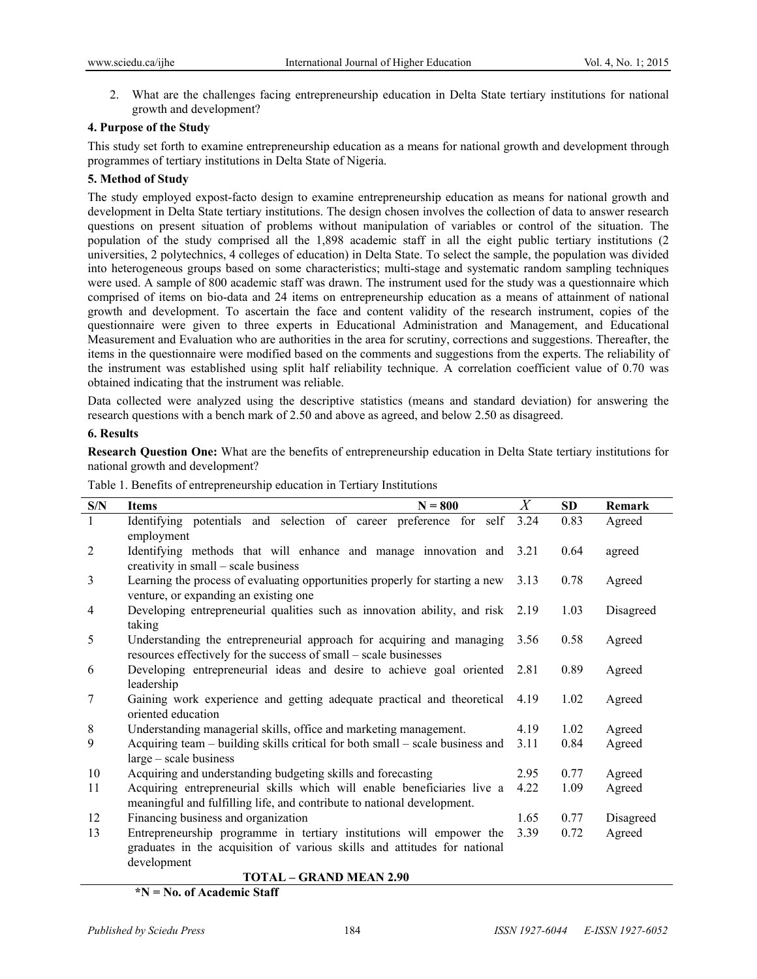2. What are the challenges facing entrepreneurship education in Delta State tertiary institutions for national growth and development?

## **4. Purpose of the Study**

This study set forth to examine entrepreneurship education as a means for national growth and development through programmes of tertiary institutions in Delta State of Nigeria.

## **5. Method of Study**

The study employed expost-facto design to examine entrepreneurship education as means for national growth and development in Delta State tertiary institutions. The design chosen involves the collection of data to answer research questions on present situation of problems without manipulation of variables or control of the situation. The population of the study comprised all the 1,898 academic staff in all the eight public tertiary institutions (2 universities, 2 polytechnics, 4 colleges of education) in Delta State. To select the sample, the population was divided into heterogeneous groups based on some characteristics; multi-stage and systematic random sampling techniques were used. A sample of 800 academic staff was drawn. The instrument used for the study was a questionnaire which comprised of items on bio-data and 24 items on entrepreneurship education as a means of attainment of national growth and development. To ascertain the face and content validity of the research instrument, copies of the questionnaire were given to three experts in Educational Administration and Management, and Educational Measurement and Evaluation who are authorities in the area for scrutiny, corrections and suggestions. Thereafter, the items in the questionnaire were modified based on the comments and suggestions from the experts. The reliability of the instrument was established using split half reliability technique. A correlation coefficient value of 0.70 was obtained indicating that the instrument was reliable.

Data collected were analyzed using the descriptive statistics (means and standard deviation) for answering the research questions with a bench mark of 2.50 and above as agreed, and below 2.50 as disagreed.

## **6. Results**

**Research Question One:** What are the benefits of entrepreneurship education in Delta State tertiary institutions for national growth and development?

| S/N            | $N = 800$<br><b>Items</b>                                                     | X    | <b>SD</b> | Remark    |
|----------------|-------------------------------------------------------------------------------|------|-----------|-----------|
| 1              | Identifying potentials and selection of career preference for self            | 3.24 | 0.83      | Agreed    |
|                | employment                                                                    |      |           |           |
| 2              | Identifying methods that will enhance and manage innovation and               | 3.21 | 0.64      | agreed    |
|                | creativity in small – scale business                                          |      |           |           |
| 3              | Learning the process of evaluating opportunities properly for starting a new  | 3.13 | 0.78      | Agreed    |
|                | venture, or expanding an existing one                                         |      |           |           |
| $\overline{4}$ | Developing entrepreneurial qualities such as innovation ability, and risk     | 2.19 | 1.03      | Disagreed |
|                | taking                                                                        |      |           |           |
| 5              | Understanding the entrepreneurial approach for acquiring and managing         | 3.56 | 0.58      | Agreed    |
|                | resources effectively for the success of small – scale businesses             |      |           |           |
| 6              | Developing entrepreneurial ideas and desire to achieve goal oriented          | 2.81 | 0.89      | Agreed    |
|                | leadership                                                                    |      |           |           |
| $\overline{7}$ | Gaining work experience and getting adequate practical and theoretical        | 4.19 | 1.02      | Agreed    |
|                | oriented education                                                            |      |           |           |
| $8\,$          | Understanding managerial skills, office and marketing management.             | 4.19 | 1.02      | Agreed    |
| 9              | Acquiring team – building skills critical for both small – scale business and | 3.11 | 0.84      | Agreed    |
|                | $large - scale business$                                                      |      |           |           |
| 10             | Acquiring and understanding budgeting skills and forecasting                  | 2.95 | 0.77      | Agreed    |
| 11             | Acquiring entrepreneurial skills which will enable beneficiaries live a       | 4.22 | 1.09      | Agreed    |
|                | meaningful and fulfilling life, and contribute to national development.       |      |           |           |
| 12             | Financing business and organization                                           | 1.65 | 0.77      | Disagreed |
| 13             | Entrepreneurship programme in tertiary institutions will empower the          | 3.39 | 0.72      | Agreed    |
|                | graduates in the acquisition of various skills and attitudes for national     |      |           |           |
|                | development<br><b>TOTHER ODIAIN MELALAGE</b>                                  |      |           |           |

Table 1. Benefits of entrepreneurship education in Tertiary Institutions

 **TOTAL – GRAND MEAN 2.90**

 **\*N = No. of Academic Staff**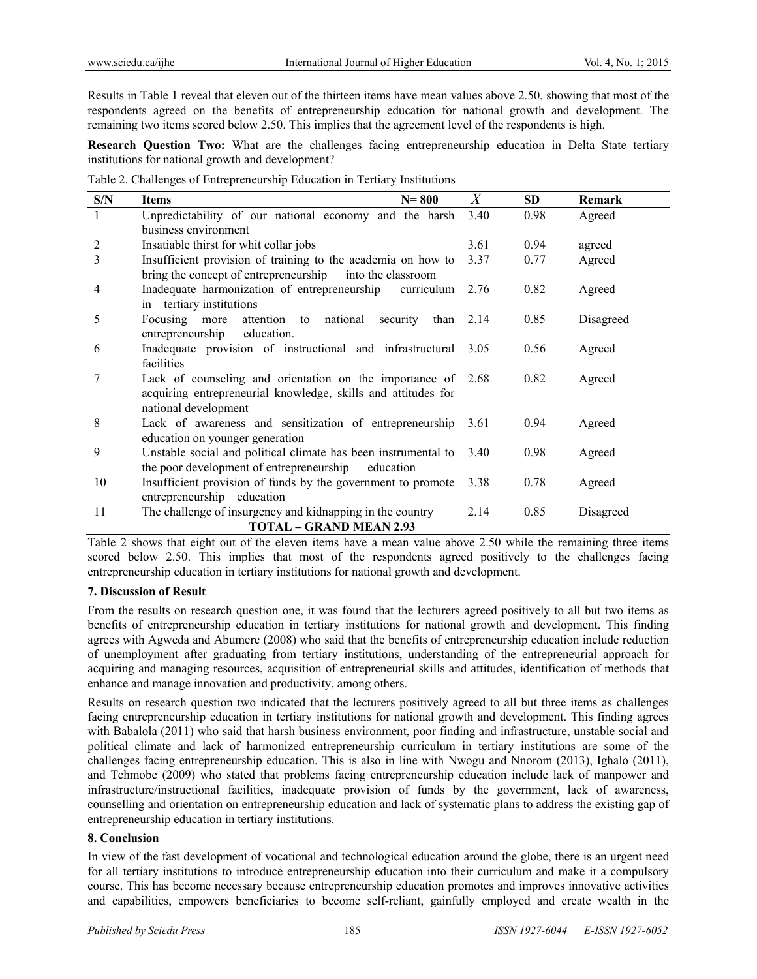Results in Table 1 reveal that eleven out of the thirteen items have mean values above 2.50, showing that most of the respondents agreed on the benefits of entrepreneurship education for national growth and development. The remaining two items scored below 2.50. This implies that the agreement level of the respondents is high.

**Research Question Two:** What are the challenges facing entrepreneurship education in Delta State tertiary institutions for national growth and development?

| S/N            | <b>Items</b>                                                   | $N = 800$  | X    | SD   | Remark    |
|----------------|----------------------------------------------------------------|------------|------|------|-----------|
|                | Unpredictability of our national economy and the harsh         |            | 3.40 | 0.98 | Agreed    |
|                | business environment                                           |            |      |      |           |
| $\overline{2}$ | Insatiable thirst for whit collar jobs                         |            | 3.61 | 0.94 | agreed    |
| 3              | Insufficient provision of training to the academia on how to   |            | 3.37 | 0.77 | Agreed    |
|                | bring the concept of entrepreneurship into the classroom       |            |      |      |           |
| $\overline{4}$ | Inadequate harmonization of entrepreneurship                   | curriculum | 2.76 | 0.82 | Agreed    |
|                | in tertiary institutions                                       |            |      |      |           |
| 5              | Focusing more<br>national<br>security<br>attention to          | than       | 2.14 | 0.85 | Disagreed |
|                | entrepreneurship<br>education.                                 |            |      |      |           |
| 6              | Inadequate provision of instructional and infrastructural 3.05 |            |      | 0.56 | Agreed    |
|                | facilities                                                     |            |      |      |           |
| 7              | Lack of counseling and orientation on the importance of 2.68   |            |      | 0.82 | Agreed    |
|                | acquiring entrepreneurial knowledge, skills and attitudes for  |            |      |      |           |
|                | national development                                           |            |      |      |           |
| 8              | Lack of awareness and sensitization of entrepreneurship        |            | 3.61 | 0.94 | Agreed    |
|                | education on younger generation                                |            |      |      |           |
| 9              | Unstable social and political climate has been instrumental to |            | 3.40 | 0.98 | Agreed    |
|                | the poor development of entrepreneurship<br>education          |            |      |      |           |
| 10             | Insufficient provision of funds by the government to promote   |            | 3.38 | 0.78 | Agreed    |
|                | entrepreneurship education                                     |            |      |      |           |
| 11             | The challenge of insurgency and kidnapping in the country      |            | 2.14 | 0.85 | Disagreed |
|                | <b>TOTAL - GRAND MEAN 2.93</b>                                 |            |      |      |           |

Table 2. Challenges of Entrepreneurship Education in Tertiary Institutions

Table 2 shows that eight out of the eleven items have a mean value above 2.50 while the remaining three items scored below 2.50. This implies that most of the respondents agreed positively to the challenges facing entrepreneurship education in tertiary institutions for national growth and development.

## **7. Discussion of Result**

From the results on research question one, it was found that the lecturers agreed positively to all but two items as benefits of entrepreneurship education in tertiary institutions for national growth and development. This finding agrees with Agweda and Abumere (2008) who said that the benefits of entrepreneurship education include reduction of unemployment after graduating from tertiary institutions, understanding of the entrepreneurial approach for acquiring and managing resources, acquisition of entrepreneurial skills and attitudes, identification of methods that enhance and manage innovation and productivity, among others.

Results on research question two indicated that the lecturers positively agreed to all but three items as challenges facing entrepreneurship education in tertiary institutions for national growth and development. This finding agrees with Babalola (2011) who said that harsh business environment, poor finding and infrastructure, unstable social and political climate and lack of harmonized entrepreneurship curriculum in tertiary institutions are some of the challenges facing entrepreneurship education. This is also in line with Nwogu and Nnorom (2013), Ighalo (2011), and Tchmobe (2009) who stated that problems facing entrepreneurship education include lack of manpower and infrastructure/instructional facilities, inadequate provision of funds by the government, lack of awareness, counselling and orientation on entrepreneurship education and lack of systematic plans to address the existing gap of entrepreneurship education in tertiary institutions.

# **8. Conclusion**

In view of the fast development of vocational and technological education around the globe, there is an urgent need for all tertiary institutions to introduce entrepreneurship education into their curriculum and make it a compulsory course. This has become necessary because entrepreneurship education promotes and improves innovative activities and capabilities, empowers beneficiaries to become self-reliant, gainfully employed and create wealth in the